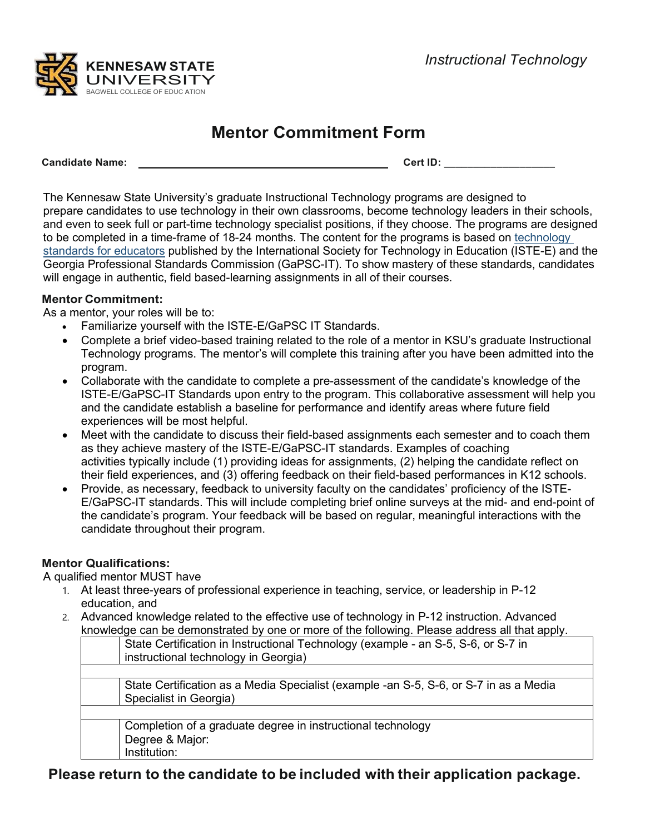

## **Mentor Commitment Form**

**Candidate Name: Cert ID: \_\_\_\_\_\_\_\_\_\_\_\_\_\_\_\_\_\_\_**

The Kennesaw State University's graduate Instructional Technology programs are designed to prepare candidates to use technology in their own classrooms, become technology leaders in their schools, and even to seek full or part-time technology specialist positions, if they choose. The programs are designed to be completed in a time-frame of 18-24 months. The content for the programs is based on technology standards for educators published by the International Society for Technology in Education (ISTE-E) and the Georgia Professional Standards Commission (GaPSC-IT). To show mastery of these standards, candidates will engage in authentic, field based-learning assignments in all of their courses.

## **Mentor Commitment:**

As a mentor, your roles will be to:

- Familiarize yourself with the ISTE-E/GaPSC IT Standards.
- Complete a brief video-based training related to the role of a mentor in KSU's graduate Instructional Technology programs. The mentor's will complete this training after you have been admitted into the program.
- Collaborate with the candidate to complete a pre-assessment of the candidate's knowledge of the ISTE-E/GaPSC-IT Standards upon entry to the program. This collaborative assessment will help you and the candidate establish a baseline for performance and identify areas where future field experiences will be most helpful.
- Meet with the candidate to discuss their field-based assignments each semester and to coach them as they achieve mastery of the ISTE-E/GaPSC-IT standards. Examples of coaching activities typically include (1) providing ideas for assignments, (2) helping the candidate reflect on their field experiences, and (3) offering feedback on their field-based performances in K12 schools.
- Provide, as necessary, feedback to university faculty on the candidates' proficiency of the ISTE-E/GaPSC-IT standards. This will include completing brief online surveys at the mid- and end-point of the candidate's program. Your feedback will be based on regular, meaningful interactions with the candidate throughout their program.

## **Mentor Qualifications:**

A qualified mentor MUST have

- 1. At least three-years of professional experience in teaching, service, or leadership in P-12 education, and
- 2. Advanced knowledge related to the effective use of technology in P-12 instruction. Advanced knowledge can be demonstrated by one or more of the following. Please address all that apply.

| State Certification in Instructional Technology (example - an S-5, S-6, or S-7 in<br>instructional technology in Georgia) |
|---------------------------------------------------------------------------------------------------------------------------|
|                                                                                                                           |
| State Certification as a Media Specialist (example -an S-5, S-6, or S-7 in as a Media<br>Specialist in Georgia)           |
|                                                                                                                           |
| Completion of a graduate degree in instructional technology<br>Degree & Major:<br>Institution:                            |

**Please return to the candidate to be included with their application package.**